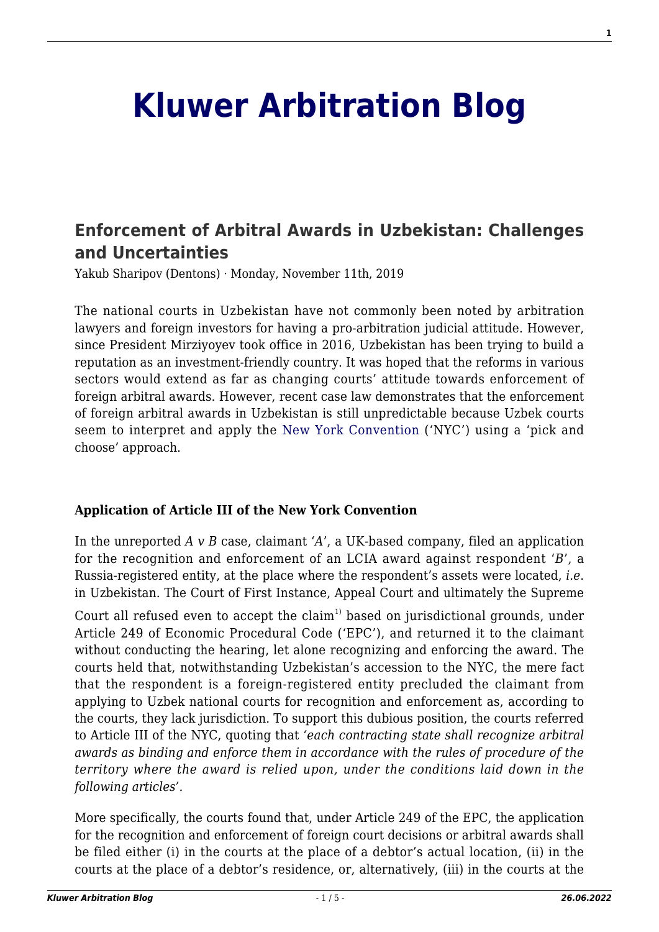# **[Kluwer Arbitration Blog](http://arbitrationblog.kluwerarbitration.com/)**

## **[Enforcement of Arbitral Awards in Uzbekistan: Challenges](http://arbitrationblog.kluwerarbitration.com/2019/11/11/enforcement-of-arbitral-awards-in-uzbekistan-challenges-and-uncertainties/) [and Uncertainties](http://arbitrationblog.kluwerarbitration.com/2019/11/11/enforcement-of-arbitral-awards-in-uzbekistan-challenges-and-uncertainties/)**

Yakub Sharipov (Dentons) · Monday, November 11th, 2019

The national courts in Uzbekistan have not commonly been noted by arbitration lawyers and foreign investors for having a pro-arbitration judicial attitude. However, since President Mirziyoyev took office in 2016, Uzbekistan has been trying to build a reputation as an investment-friendly country. It was hoped that the reforms in various sectors would extend as far as changing courts' attitude towards enforcement of foreign arbitral awards. However, recent case law demonstrates that the enforcement of foreign arbitral awards in Uzbekistan is still unpredictable because Uzbek courts seem to interpret and apply the [New York Convention](https://www.uncitral.org/pdf/english/texts/arbitration/NY-conv/New-York-Convention-E.pdf) ('NYC') using a 'pick and choose' approach.

### **Application of Article III of the New York Convention**

In the unreported *A v B* case, claimant '*A*', a UK-based company, filed an application for the recognition and enforcement of an LCIA award against respondent '*B*', a Russia-registered entity, at the place where the respondent's assets were located, *i.e*. in Uzbekistan. The Court of First Instance, Appeal Court and ultimately the Supreme

Court all refused even to accept the claim<sup>1)</sup> based on jurisdictional grounds, under Article 249 of Economic Procedural Code ('EPC'), and returned it to the claimant without conducting the hearing, let alone recognizing and enforcing the award. The courts held that, notwithstanding Uzbekistan's accession to the NYС, the mere fact that the respondent is a foreign-registered entity precluded the claimant from applying to Uzbek national courts for recognition and enforcement as, according to the courts, they lack jurisdiction. To support this dubious position, the courts referred to Article III of the NYC, quoting that *'each contracting state shall recognize arbitral awards as binding and enforce them in accordance with the rules of procedure of the territory where the award is relied upon, under the conditions laid down in the following articles'.*

More specifically, the courts found that, under Article 249 of the EPC, the application for the recognition and enforcement of foreign court decisions or arbitral awards shall be filed either (i) in the courts at the place of a debtor's actual location, (ii) in the courts at the place of a debtor's residence, or, alternatively, (iii) in the courts at the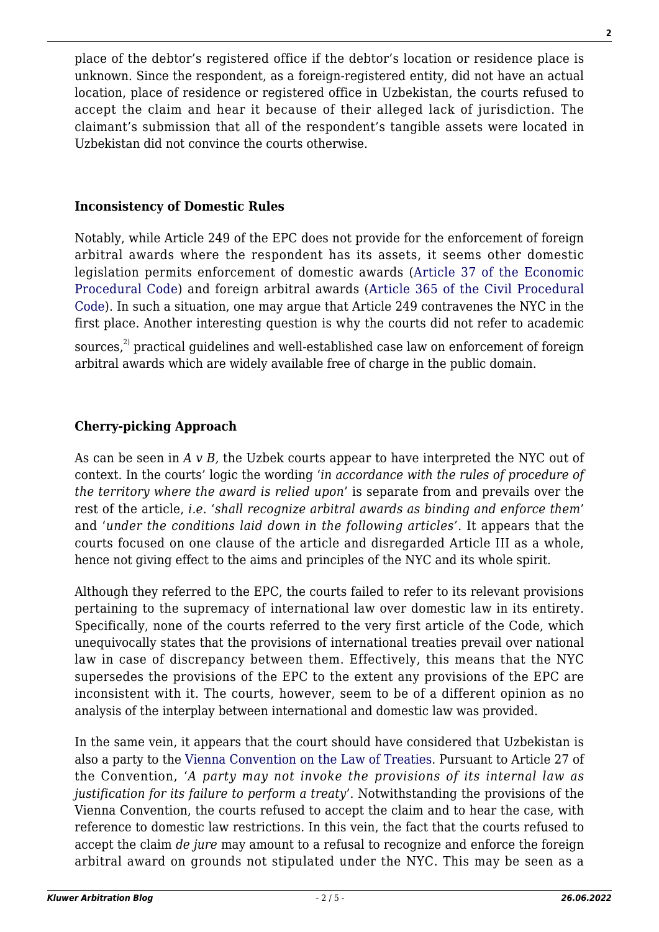place of the debtor's registered office if the debtor's location or residence place is unknown. Since the respondent, as a foreign-registered entity, did not have an actual location, place of residence or registered office in Uzbekistan, the courts refused to accept the claim and hear it because of their alleged lack of jurisdiction. The claimant's submission that all of the respondent's tangible assets were located in Uzbekistan did not convince the courts otherwise.

### **Inconsistency of Domestic Rules**

Notably, while Article 249 of the EPC does not provide for the enforcement of foreign arbitral awards where the respondent has its assets, it seems other domestic legislation permits enforcement of domestic awards ([Article 37 of the Economic](http://lex.uz/docs/3523895#3534541) [Procedural Code\)](http://lex.uz/docs/3523895#3534541) and foreign arbitral awards ([Article 365 of the Civil Procedural](http://lex.uz/docs/3517334) [Code\)](http://lex.uz/docs/3517334). In such a situation, one may argue that Article 249 contravenes the NYC in the first place. Another interesting question is why the courts did not refer to academic sources, $^{2}$  practical guidelines and well-established case law on enforcement of foreign arbitral awards which are widely available free of charge in the public domain.

### **Cherry-picking Approach**

As can be seen in *A v B,* the Uzbek courts appear to have interpreted the NYC out of context. In the courts' logic the wording '*in accordance with the rules of procedure of the territory where the award is relied upon*' is separate from and prevails over the rest of the article, *i.e*. '*shall recognize arbitral awards as binding and enforce them*' and '*under the conditions laid down in the following articles'*. It appears that the courts focused on one clause of the article and disregarded Article III as a whole, hence not giving effect to the aims and principles of the NYC and its whole spirit.

Although they referred to the EPC, the courts failed to refer to its relevant provisions pertaining to the supremacy of international law over domestic law in its entirety. Specifically, none of the courts referred to the very first article of the Code, which unequivocally states that the provisions of international treaties prevail over national law in case of discrepancy between them. Effectively, this means that the NYC supersedes the provisions of the EPC to the extent any provisions of the EPC are inconsistent with it. The courts, however, seem to be of a different opinion as no analysis of the interplay between international and domestic law was provided.

In the same vein, it appears that the court should have considered that Uzbekistan is also a party to the [Vienna Convention on the Law of Treaties](https://treaties.un.org/doc/publication/unts/volume%201155/volume-1155-i-18232-english.pdf). Pursuant to Article 27 of the Convention, '*A party may not invoke the provisions of its internal law as justification for its failure to perform a treaty*'. Notwithstanding the provisions of the Vienna Convention, the courts refused to accept the claim and to hear the case, with reference to domestic law restrictions. In this vein, the fact that the courts refused to accept the claim *de jure* may amount to a refusal to recognize and enforce the foreign arbitral award on grounds not stipulated under the NYC. This may be seen as a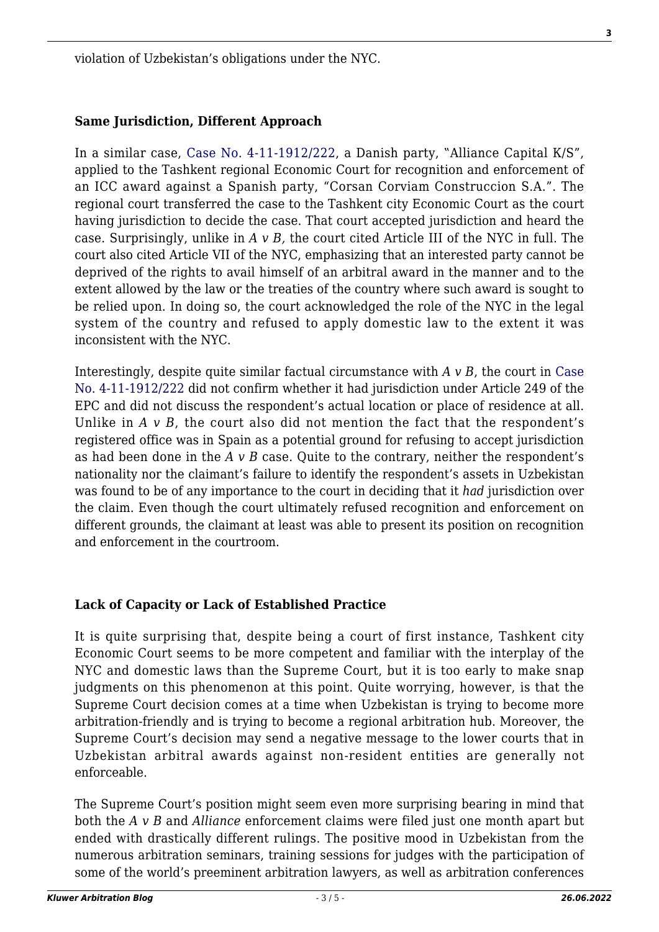violation of Uzbekistan's obligations under the NYC.

### **Same Jurisdiction, Different Approach**

In a similar case, [Case No. 4-11-1912/222](https://public.sud.uz/api/file/download/4919850), a Danish party, "Alliance Capital K/S", applied to the Tashkent regional Economic Court for recognition and enforcement of an ICC award against a Spanish party, "Corsan Corviam Construccion S.A.". The regional court transferred the case to the Tashkent city Economic Court as the court having jurisdiction to decide the case. That court accepted jurisdiction and heard the case. Surprisingly, unlike in *A v B,* the court cited Article III of the NYC in full. The court also cited Article VII of the NYC, emphasizing that an interested party cannot be deprived of the rights to avail himself of an arbitral award in the manner and to the extent allowed by the law or the treaties of the country where such award is sought to be relied upon. In doing so, the court acknowledged the role of the NYC in the legal system of the country and refused to apply domestic law to the extent it was inconsistent with the NYC.

Interestingly, despite quite similar factual circumstance with *A v B*, the court in [Case](https://public.sud.uz/api/file/download/4919850) [No. 4-11-1912/222](https://public.sud.uz/api/file/download/4919850) did not confirm whether it had jurisdiction under Article 249 of the EPC and did not discuss the respondent's actual location or place of residence at all. Unlike in *A*  $\vee$  *B*, the court also did not mention the fact that the respondent's registered office was in Spain as a potential ground for refusing to accept jurisdiction as had been done in the *A v B* case. Quite to the contrary, neither the respondent's nationality nor the claimant's failure to identify the respondent's assets in Uzbekistan was found to be of any importance to the court in deciding that it *had* jurisdiction over the claim. Even though the court ultimately refused recognition and enforcement on different grounds, the claimant at least was able to present its position on recognition and enforcement in the courtroom.

### **Lack of Capacity or Lack of Established Practice**

It is quite surprising that, despite being a court of first instance, Tashkent city Economic Court seems to be more competent and familiar with the interplay of the NYC and domestic laws than the Supreme Court, but it is too early to make snap judgments on this phenomenon at this point. Quite worrying, however, is that the Supreme Court decision comes at a time when Uzbekistan is trying to become more arbitration-friendly and is trying to become a regional arbitration hub. Moreover, the Supreme Court's decision may send a negative message to the lower courts that in Uzbekistan arbitral awards against non-resident entities are generally not enforceable.

The Supreme Court's position might seem even more surprising bearing in mind that both the *A v B* and *Alliance* enforcement claims were filed just one month apart but ended with drastically different rulings. The positive mood in Uzbekistan from the numerous arbitration seminars, training sessions for judges with the participation of some of the world's preeminent arbitration lawyers, as well as arbitration conferences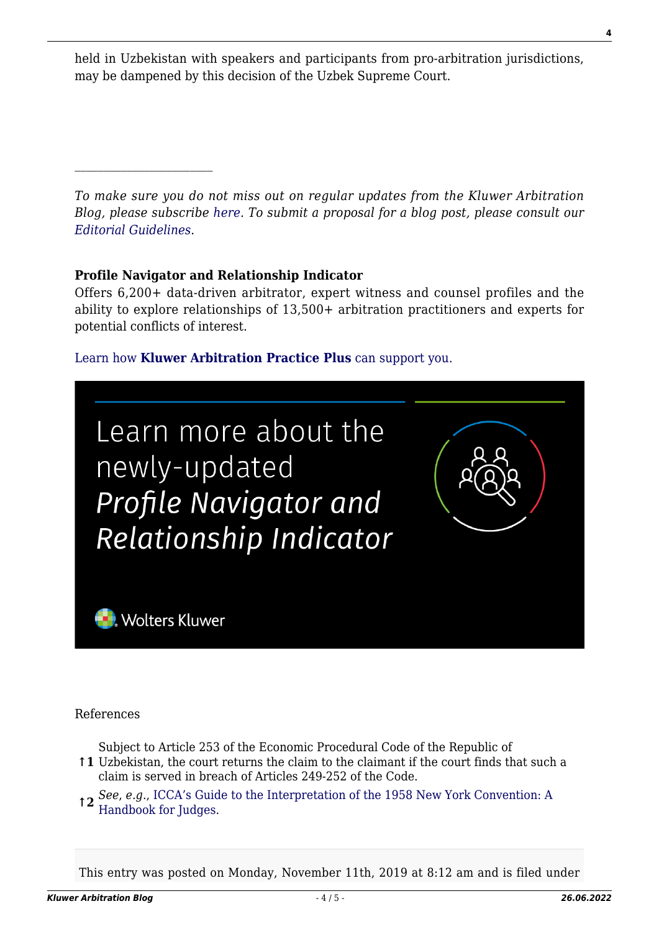held in Uzbekistan with speakers and participants from pro-arbitration jurisdictions, may be dampened by this decision of the Uzbek Supreme Court.

*To make sure you do not miss out on regular updates from the Kluwer Arbitration Blog, please subscribe [here](http://arbitrationblog.kluwerarbitration.com/newsletter/). To submit a proposal for a blog post, please consult our [Editorial Guidelines.](http://arbitrationblog.kluwerarbitration.com/editorial-guidelines/)*

### **Profile Navigator and Relationship Indicator**

 $\mathcal{L}_\text{max}$ 

Offers 6,200+ data-driven arbitrator, expert witness and counsel profiles and the ability to explore relationships of 13,500+ arbitration practitioners and experts for potential conflicts of interest.

### [Learn how](https://www.wolterskluwer.com/en/solutions/kluwerarbitration/practiceplus?utm_source=arbitrationblog&utm_medium=articleCTA&utm_campaign=article-banner) **[Kluwer Arbitration Practice Plus](https://www.wolterskluwer.com/en/solutions/kluwerarbitration/practiceplus?utm_source=arbitrationblog&utm_medium=articleCTA&utm_campaign=article-banner)** [can support you.](https://www.wolterskluwer.com/en/solutions/kluwerarbitration/practiceplus?utm_source=arbitrationblog&utm_medium=articleCTA&utm_campaign=article-banner)



References

Subject to Article 253 of the Economic Procedural Code of the Republic of

**↑1** Uzbekistan, the court returns the claim to the claimant if the court finds that such a claim is served in breach of Articles 249-252 of the Code.

**↑2** *See*, *e.g*., [ICCA's Guide to the Interpretation of the 1958 New York Convention: A](https://www.arbitration-icca.org/media/0/13365477041670/judges_guide_english_composite_final_revised_may_2012.pdf) [Handbook for Judges](https://www.arbitration-icca.org/media/0/13365477041670/judges_guide_english_composite_final_revised_may_2012.pdf).

This entry was posted on Monday, November 11th, 2019 at 8:12 am and is filed under